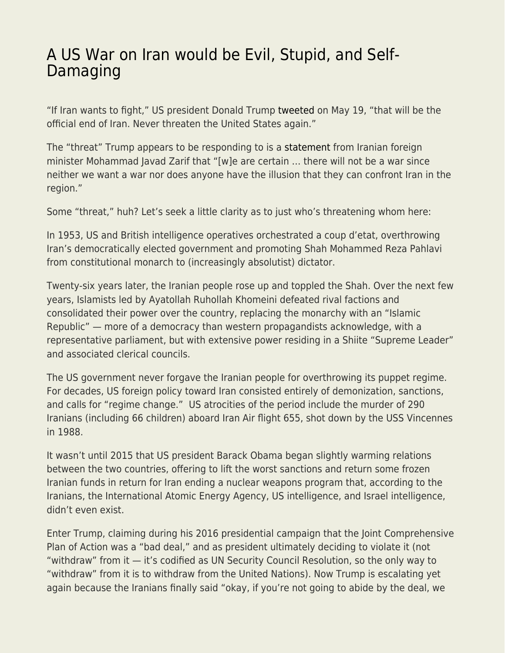## [A US War on Iran would be Evil, Stupid, and Self-](https://everything-voluntary.com/a-us-war-on-iran-would-be-evil-stupid-and-self-damaging)[Damaging](https://everything-voluntary.com/a-us-war-on-iran-would-be-evil-stupid-and-self-damaging)

"If Iran wants to fight," US president Donald Trump [tweeted](https://twitter.com/realDonaldTrump/status/1130207891049332737) on May 19, "that will be the official end of Iran. Never threaten the United States again."

The "threat" Trump appears to be responding to is a [statement](https://www.thehindu.com/news/international/zarif-rules-out-prospect-of-war-with-us/article27174047.ece) from Iranian foreign minister Mohammad Javad Zarif that "[w]e are certain … there will not be a war since neither we want a war nor does anyone have the illusion that they can confront Iran in the region."

Some "threat," huh? Let's seek a little clarity as to just who's threatening whom here:

In 1953, US and British intelligence operatives orchestrated a coup d'etat, overthrowing Iran's democratically elected government and promoting Shah Mohammed Reza Pahlavi from constitutional monarch to (increasingly absolutist) dictator.

Twenty-six years later, the Iranian people rose up and toppled the Shah. Over the next few years, Islamists led by Ayatollah Ruhollah Khomeini defeated rival factions and consolidated their power over the country, replacing the monarchy with an "Islamic Republic" — more of a democracy than western propagandists acknowledge, with a representative parliament, but with extensive power residing in a Shiite "Supreme Leader" and associated clerical councils.

The US government never forgave the Iranian people for overthrowing its puppet regime. For decades, US foreign policy toward Iran consisted entirely of demonization, sanctions, and calls for "regime change." US atrocities of the period include the murder of 290 Iranians (including 66 children) aboard Iran Air flight 655, shot down by the USS Vincennes in 1988.

It wasn't until 2015 that US president Barack Obama began slightly warming relations between the two countries, offering to lift the worst sanctions and return some frozen Iranian funds in return for Iran ending a nuclear weapons program that, according to the Iranians, the International Atomic Energy Agency, US intelligence, and Israel intelligence, didn't even exist.

Enter Trump, claiming during his 2016 presidential campaign that the Joint Comprehensive Plan of Action was a "bad deal," and as president ultimately deciding to violate it (not "withdraw" from it — it's codified as UN Security Council Resolution, so the only way to "withdraw" from it is to withdraw from the United Nations). Now Trump is escalating yet again because the Iranians finally said "okay, if you're not going to abide by the deal, we